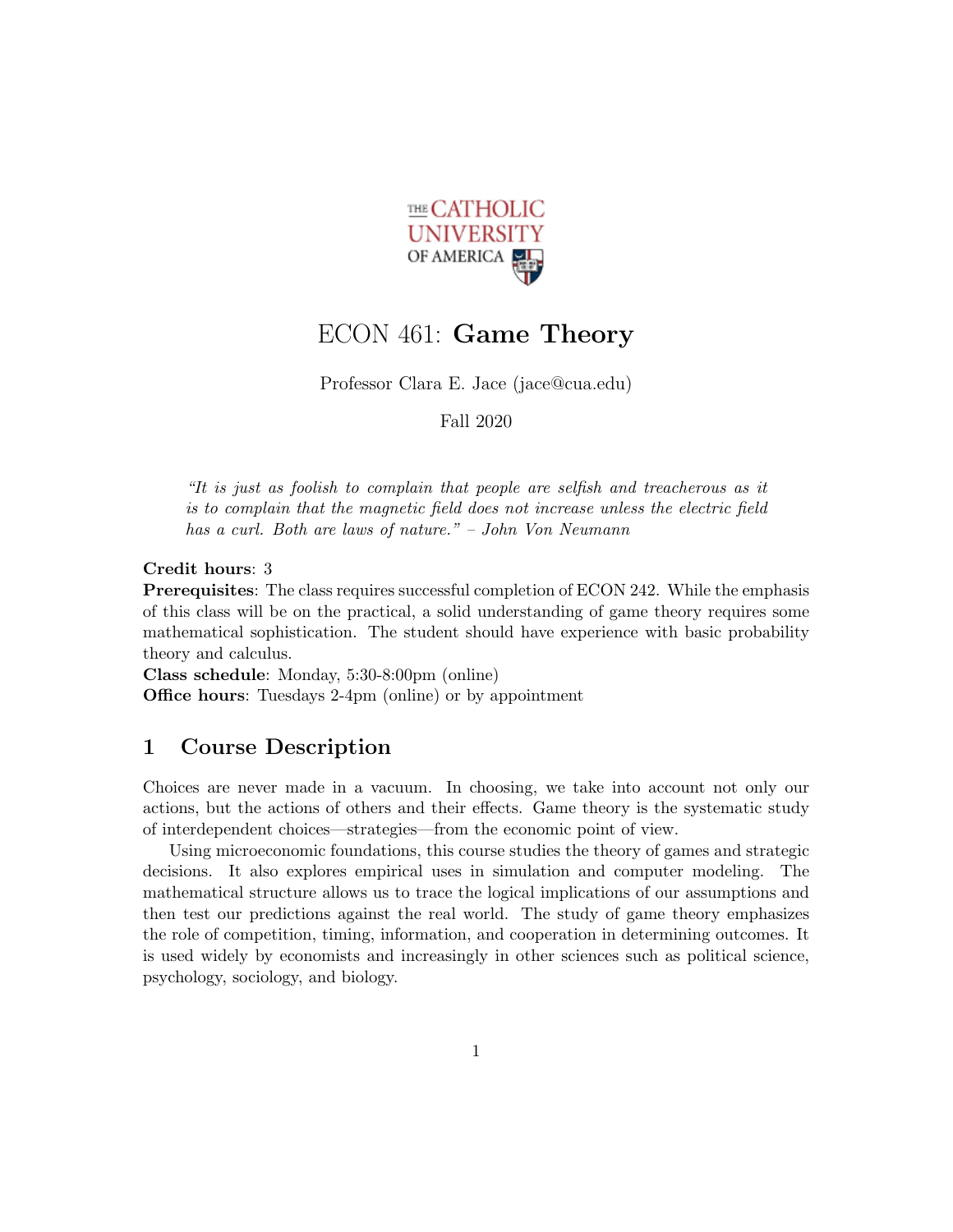

## ECON 461: Game Theory

Professor Clara E. Jace (jace@cua.edu)

Fall 2020

"It is just as foolish to complain that people are selfish and treacherous as it is to complain that the magnetic field does not increase unless the electric field has a curl. Both are laws of nature." – John Von Neumann

Credit hours: 3

Prerequisites: The class requires successful completion of ECON 242. While the emphasis of this class will be on the practical, a solid understanding of game theory requires some mathematical sophistication. The student should have experience with basic probability theory and calculus.

Class schedule: Monday, 5:30-8:00pm (online) Office hours: Tuesdays 2-4pm (online) or by appointment

## 1 Course Description

Choices are never made in a vacuum. In choosing, we take into account not only our actions, but the actions of others and their effects. Game theory is the systematic study of interdependent choices—strategies—from the economic point of view.

Using microeconomic foundations, this course studies the theory of games and strategic decisions. It also explores empirical uses in simulation and computer modeling. The mathematical structure allows us to trace the logical implications of our assumptions and then test our predictions against the real world. The study of game theory emphasizes the role of competition, timing, information, and cooperation in determining outcomes. It is used widely by economists and increasingly in other sciences such as political science, psychology, sociology, and biology.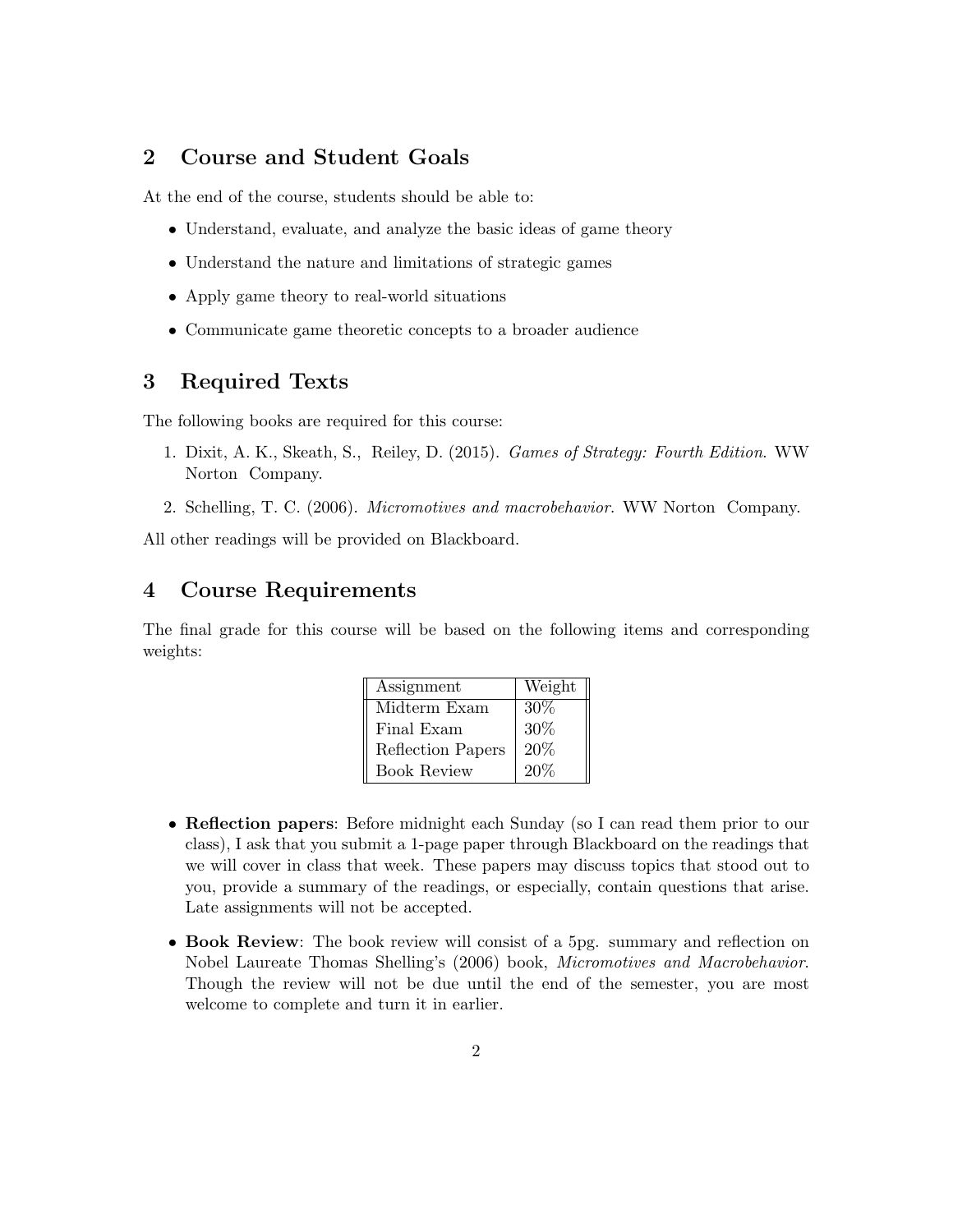## 2 Course and Student Goals

At the end of the course, students should be able to:

- Understand, evaluate, and analyze the basic ideas of game theory
- Understand the nature and limitations of strategic games
- Apply game theory to real-world situations
- Communicate game theoretic concepts to a broader audience

## 3 Required Texts

The following books are required for this course:

- 1. Dixit, A. K., Skeath, S., Reiley, D. (2015). Games of Strategy: Fourth Edition. WW Norton Company.
- 2. Schelling, T. C. (2006). Micromotives and macrobehavior. WW Norton Company.

All other readings will be provided on Blackboard.

## 4 Course Requirements

The final grade for this course will be based on the following items and corresponding weights:

| Assignment         | Weight |
|--------------------|--------|
| Midterm Exam       | $30\%$ |
| Final Exam         | 30%    |
| Reflection Papers  | 20%    |
| <b>Book Review</b> | 20%    |

- Reflection papers: Before midnight each Sunday (so I can read them prior to our class), I ask that you submit a 1-page paper through Blackboard on the readings that we will cover in class that week. These papers may discuss topics that stood out to you, provide a summary of the readings, or especially, contain questions that arise. Late assignments will not be accepted.
- Book Review: The book review will consist of a 5pg. summary and reflection on Nobel Laureate Thomas Shelling's (2006) book, Micromotives and Macrobehavior. Though the review will not be due until the end of the semester, you are most welcome to complete and turn it in earlier.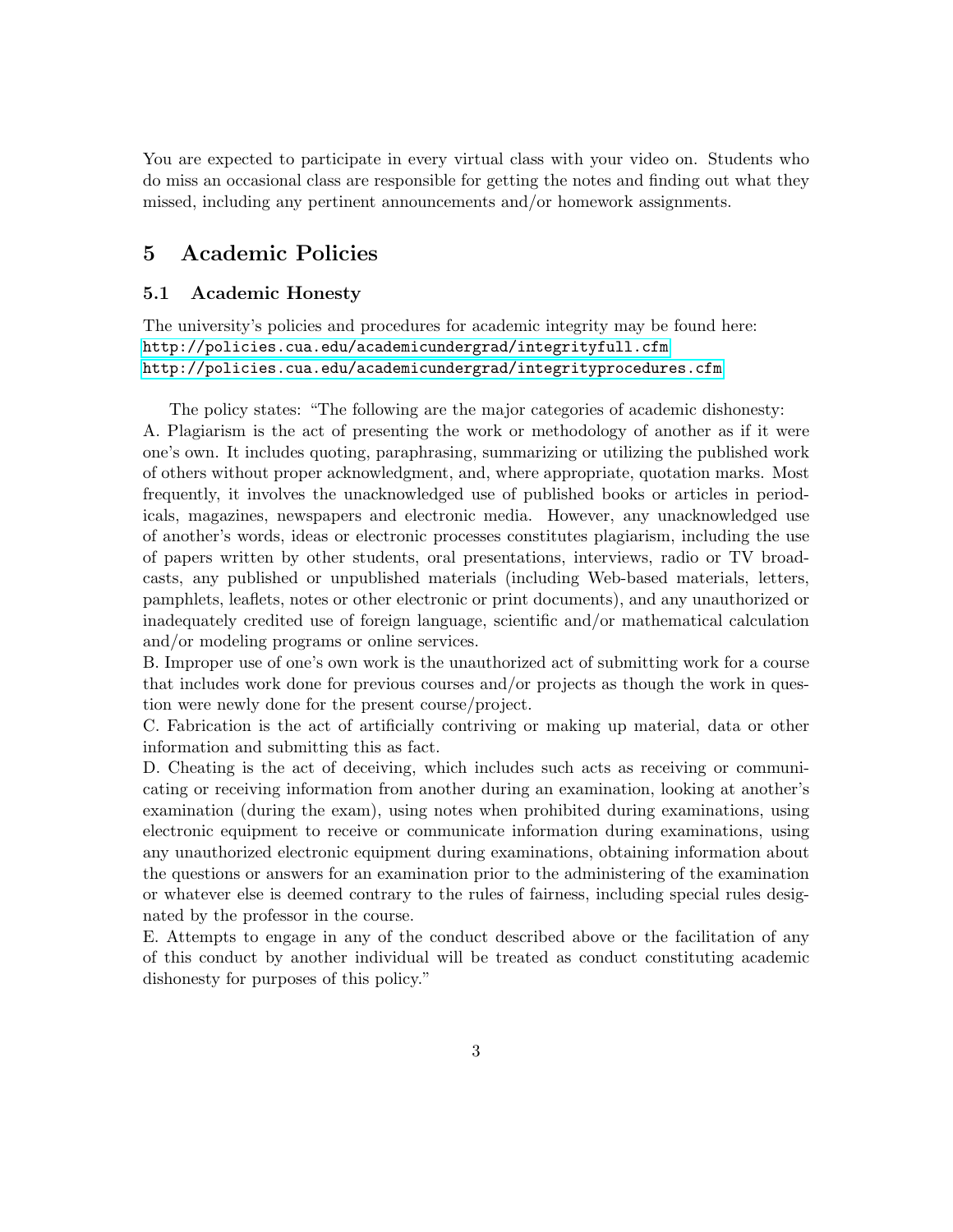You are expected to participate in every virtual class with your video on. Students who do miss an occasional class are responsible for getting the notes and finding out what they missed, including any pertinent announcements and/or homework assignments.

## 5 Academic Policies

#### 5.1 Academic Honesty

The university's policies and procedures for academic integrity may be found here: <http://policies.cua.edu/academicundergrad/integrityfull.cfm> <http://policies.cua.edu/academicundergrad/integrityprocedures.cfm>

The policy states: "The following are the major categories of academic dishonesty: A. Plagiarism is the act of presenting the work or methodology of another as if it were one's own. It includes quoting, paraphrasing, summarizing or utilizing the published work of others without proper acknowledgment, and, where appropriate, quotation marks. Most frequently, it involves the unacknowledged use of published books or articles in periodicals, magazines, newspapers and electronic media. However, any unacknowledged use of another's words, ideas or electronic processes constitutes plagiarism, including the use of papers written by other students, oral presentations, interviews, radio or TV broadcasts, any published or unpublished materials (including Web-based materials, letters, pamphlets, leaflets, notes or other electronic or print documents), and any unauthorized or inadequately credited use of foreign language, scientific and/or mathematical calculation and/or modeling programs or online services.

B. Improper use of one's own work is the unauthorized act of submitting work for a course that includes work done for previous courses and/or projects as though the work in question were newly done for the present course/project.

C. Fabrication is the act of artificially contriving or making up material, data or other information and submitting this as fact.

D. Cheating is the act of deceiving, which includes such acts as receiving or communicating or receiving information from another during an examination, looking at another's examination (during the exam), using notes when prohibited during examinations, using electronic equipment to receive or communicate information during examinations, using any unauthorized electronic equipment during examinations, obtaining information about the questions or answers for an examination prior to the administering of the examination or whatever else is deemed contrary to the rules of fairness, including special rules designated by the professor in the course.

E. Attempts to engage in any of the conduct described above or the facilitation of any of this conduct by another individual will be treated as conduct constituting academic dishonesty for purposes of this policy."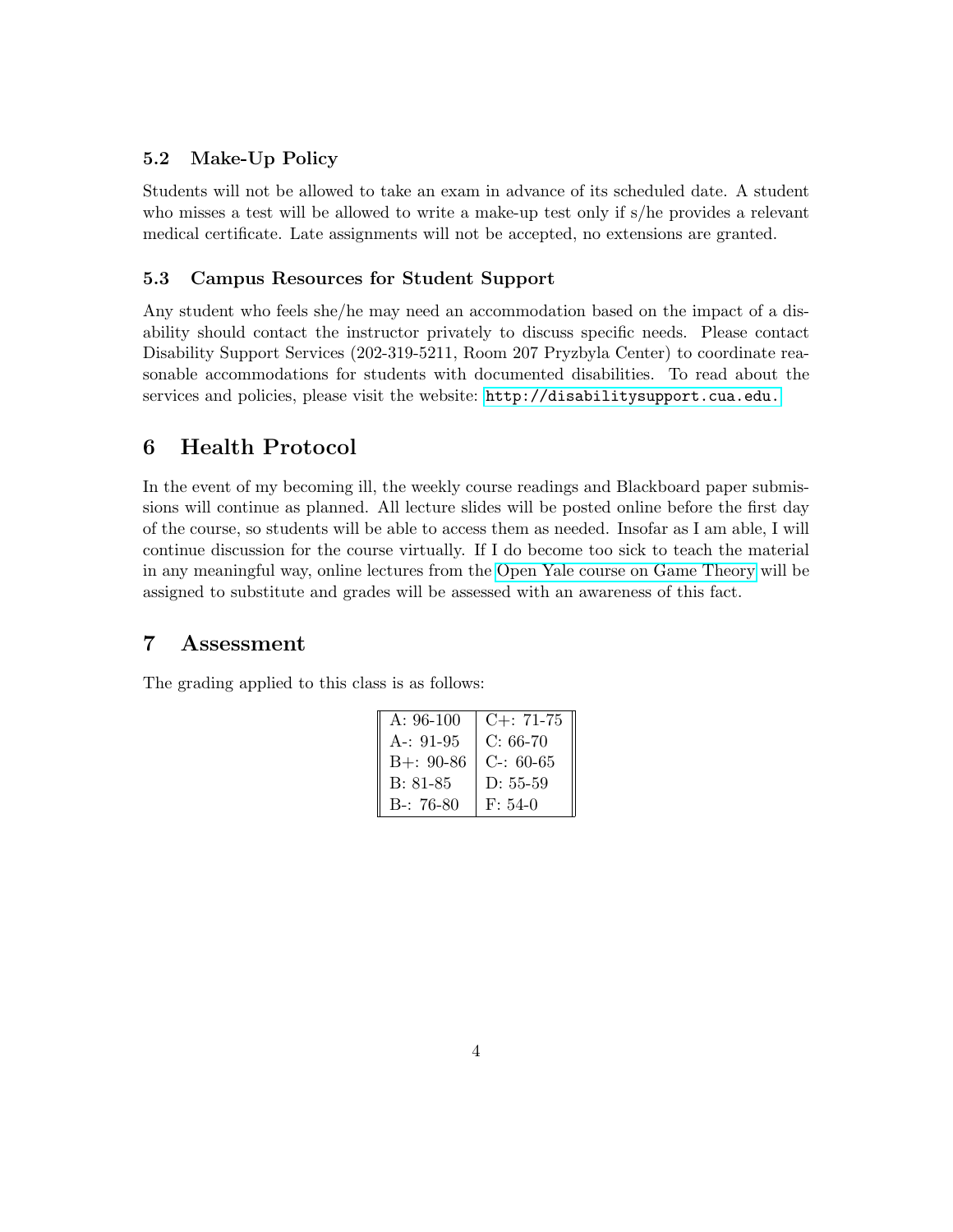#### 5.2 Make-Up Policy

Students will not be allowed to take an exam in advance of its scheduled date. A student who misses a test will be allowed to write a make-up test only if s/he provides a relevant medical certificate. Late assignments will not be accepted, no extensions are granted.

#### 5.3 Campus Resources for Student Support

Any student who feels she/he may need an accommodation based on the impact of a disability should contact the instructor privately to discuss specific needs. Please contact Disability Support Services (202-319-5211, Room 207 Pryzbyla Center) to coordinate reasonable accommodations for students with documented disabilities. To read about the services and policies, please visit the website: <http://disabilitysupport.cua.edu.>

## 6 Health Protocol

In the event of my becoming ill, the weekly course readings and Blackboard paper submissions will continue as planned. All lecture slides will be posted online before the first day of the course, so students will be able to access them as needed. Insofar as I am able, I will continue discussion for the course virtually. If I do become too sick to teach the material in any meaningful way, online lectures from the [Open Yale course on Game Theory](https://oyc.yale.edu/economics/econ-159/lecture-1) will be assigned to substitute and grades will be assessed with an awareness of this fact.

## 7 Assessment

The grading applied to this class is as follows:

| $A: 96-100$  | $C_{+}$ : 71-75 |
|--------------|-----------------|
| A-: $91-95$  | $C: 66-70$      |
| $B +: 90-86$ | $C-: 60-65$     |
| B: 81-85     | $D: 55-59$      |
| $B-: 76-80$  | $F: 54-0$       |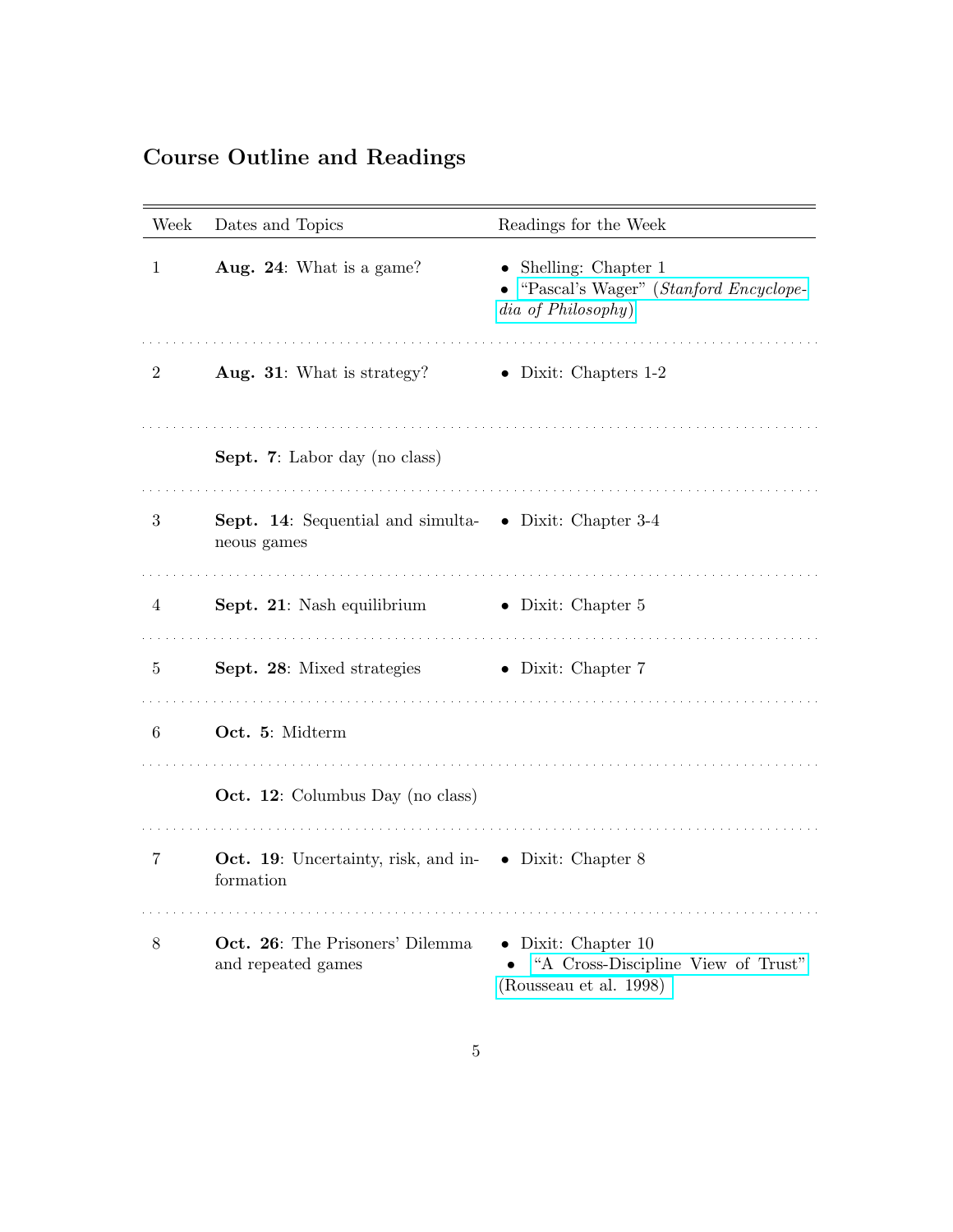# Course Outline and Readings

| Week           | Dates and Topics                                                           | Readings for the Week                                                                        |
|----------------|----------------------------------------------------------------------------|----------------------------------------------------------------------------------------------|
| 1              | Aug. 24: What is a game?                                                   | $\bullet$ Shelling: Chapter 1<br>"Pascal's Wager" (Stanford Encyclope-<br>dia of Philosophy) |
| $\overline{2}$ | Aug. 31: What is strategy?                                                 | $\bullet$ Dixit: Chapters 1-2                                                                |
|                | Sept. 7: Labor day (no class)                                              |                                                                                              |
| 3              | Sept. 14: Sequential and simulta- • Dixit: Chapter 3-4<br>neous games      |                                                                                              |
| 4              | Sept. 21: Nash equilibrium                                                 | $\bullet$ Dixit: Chapter 5                                                                   |
| 5              | Sept. 28: Mixed strategies                                                 | $\bullet$ Dixit: Chapter 7                                                                   |
| 6              | Oct. 5: Midterm                                                            |                                                                                              |
|                | <b>Oct. 12:</b> Columbus Day (no class)                                    |                                                                                              |
| 7              | <b>Oct. 19:</b> Uncertainty, risk, and in- • Dixit: Chapter 8<br>formation |                                                                                              |
| 8              | Oct. 26: The Prisoners' Dilemma<br>and repeated games                      | $\bullet$ Dixit: Chapter 10<br>"A Cross-Discipline View of Trust"<br>(Rousseau et al. 1998)  |